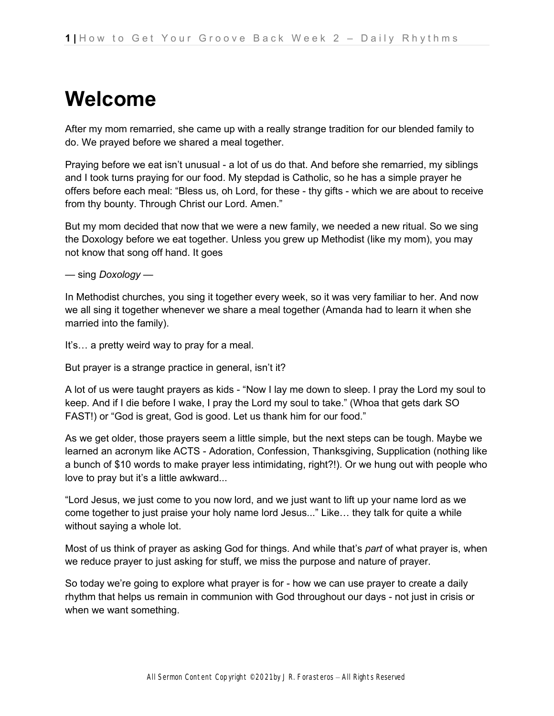# **Welcome**

After my mom remarried, she came up with a really strange tradition for our blended family to do. We prayed before we shared a meal together.

Praying before we eat isn't unusual - a lot of us do that. And before she remarried, my siblings and I took turns praying for our food. My stepdad is Catholic, so he has a simple prayer he offers before each meal: "Bless us, oh Lord, for these - thy gifts - which we are about to receive from thy bounty. Through Christ our Lord. Amen."

But my mom decided that now that we were a new family, we needed a new ritual. So we sing the Doxology before we eat together. Unless you grew up Methodist (like my mom), you may not know that song off hand. It goes

— sing *Doxology* —

In Methodist churches, you sing it together every week, so it was very familiar to her. And now we all sing it together whenever we share a meal together (Amanda had to learn it when she married into the family).

It's… a pretty weird way to pray for a meal.

But prayer is a strange practice in general, isn't it?

A lot of us were taught prayers as kids - "Now I lay me down to sleep. I pray the Lord my soul to keep. And if I die before I wake, I pray the Lord my soul to take." (Whoa that gets dark SO FAST!) or "God is great, God is good. Let us thank him for our food."

As we get older, those prayers seem a little simple, but the next steps can be tough. Maybe we learned an acronym like ACTS - Adoration, Confession, Thanksgiving, Supplication (nothing like a bunch of \$10 words to make prayer less intimidating, right?!). Or we hung out with people who love to pray but it's a little awkward...

"Lord Jesus, we just come to you now lord, and we just want to lift up your name lord as we come together to just praise your holy name lord Jesus..." Like… they talk for quite a while without saying a whole lot.

Most of us think of prayer as asking God for things. And while that's *part* of what prayer is, when we reduce prayer to just asking for stuff, we miss the purpose and nature of prayer.

So today we're going to explore what prayer is for - how we can use prayer to create a daily rhythm that helps us remain in communion with God throughout our days - not just in crisis or when we want something.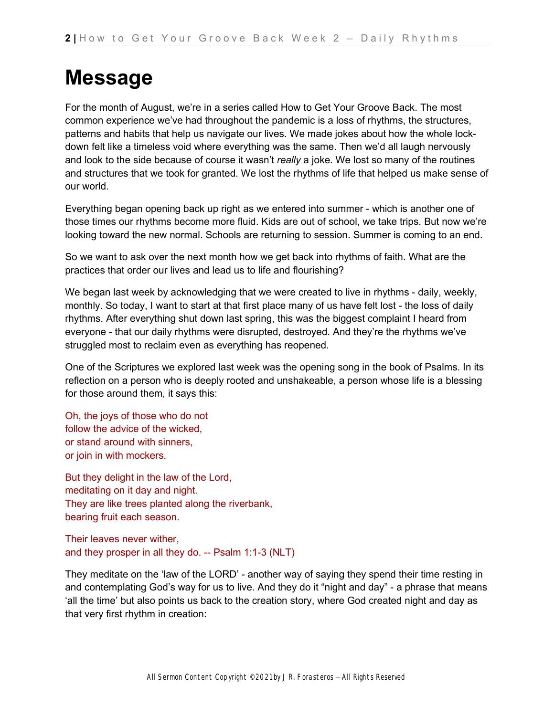### **Message**

For the month of August, we're in a series called How to Get Your Groove Back. The most common experience we've had throughout the pandemic is a loss of rhythms, the structures, patterns and habits that help us navigate our lives. We made jokes about how the whole lockdown felt like a timeless void where everything was the same. Then we'd all laugh nervously and look to the side because of course it wasn't *really* a joke. We lost so many of the routines and structures that we took for granted. We lost the rhythms of life that helped us make sense of our world.

Everything began opening back up right as we entered into summer - which is another one of those times our rhythms become more fluid. Kids are out of school, we take trips. But now we're looking toward the new normal. Schools are returning to session. Summer is coming to an end.

So we want to ask over the next month how we get back into rhythms of faith. What are the practices that order our lives and lead us to life and flourishing?

We began last week by acknowledging that we were created to live in rhythms - daily, weekly, monthly. So today, I want to start at that first place many of us have felt lost - the loss of daily rhythms. After everything shut down last spring, this was the biggest complaint I heard from everyone - that our daily rhythms were disrupted, destroyed. And they're the rhythms we've struggled most to reclaim even as everything has reopened.

One of the Scriptures we explored last week was the opening song in the book of Psalms. In its reflection on a person who is deeply rooted and unshakeable, a person whose life is a blessing for those around them, it says this:

Oh, the joys of those who do not follow the advice of the wicked, or stand around with sinners, or join in with mockers.

But they delight in the law of the Lord, meditating on it day and night. They are like trees planted along the riverbank, bearing fruit each season.

Their leaves never wither, and they prosper in all they do. -- Psalm 1:1-3 (NLT)

They meditate on the 'law of the LORD' - another way of saying they spend their time resting in and contemplating God's way for us to live. And they do it "night and day" - a phrase that means 'all the time' but also points us back to the creation story, where God created night and day as that very first rhythm in creation: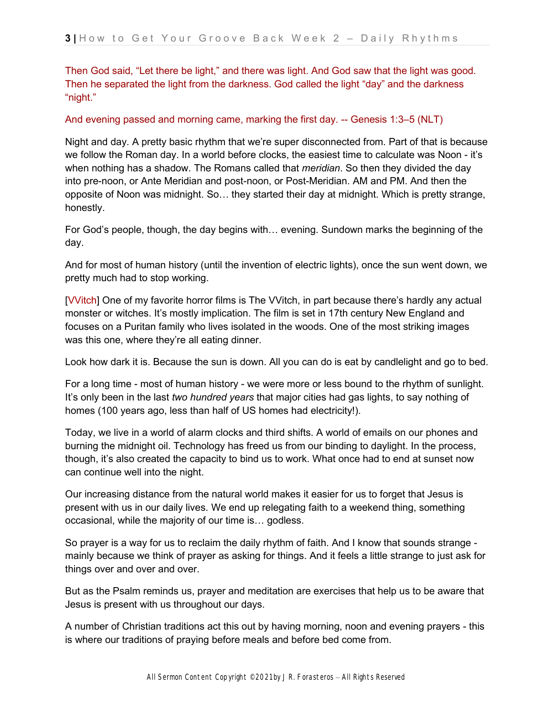Then God said, "Let there be light," and there was light. And God saw that the light was good. Then he separated the light from the darkness. God called the light "day" and the darkness "night."

#### And evening passed and morning came, marking the first day. -- Genesis 1:3–5 (NLT)

Night and day. A pretty basic rhythm that we're super disconnected from. Part of that is because we follow the Roman day. In a world before clocks, the easiest time to calculate was Noon - it's when nothing has a shadow. The Romans called that *meridian*. So then they divided the day into pre-noon, or Ante Meridian and post-noon, or Post-Meridian. AM and PM. And then the opposite of Noon was midnight. So… they started their day at midnight. Which is pretty strange, honestly.

For God's people, though, the day begins with… evening. Sundown marks the beginning of the day.

And for most of human history (until the invention of electric lights), once the sun went down, we pretty much had to stop working.

[VVitch] One of my favorite horror films is The VVitch, in part because there's hardly any actual monster or witches. It's mostly implication. The film is set in 17th century New England and focuses on a Puritan family who lives isolated in the woods. One of the most striking images was this one, where they're all eating dinner.

Look how dark it is. Because the sun is down. All you can do is eat by candlelight and go to bed.

For a long time - most of human history - we were more or less bound to the rhythm of sunlight. It's only been in the last *two hundred years* that major cities had gas lights, to say nothing of homes (100 years ago, less than half of US homes had electricity!).

Today, we live in a world of alarm clocks and third shifts. A world of emails on our phones and burning the midnight oil. Technology has freed us from our binding to daylight. In the process, though, it's also created the capacity to bind us to work. What once had to end at sunset now can continue well into the night.

Our increasing distance from the natural world makes it easier for us to forget that Jesus is present with us in our daily lives. We end up relegating faith to a weekend thing, something occasional, while the majority of our time is… godless.

So prayer is a way for us to reclaim the daily rhythm of faith. And I know that sounds strange mainly because we think of prayer as asking for things. And it feels a little strange to just ask for things over and over and over.

But as the Psalm reminds us, prayer and meditation are exercises that help us to be aware that Jesus is present with us throughout our days.

A number of Christian traditions act this out by having morning, noon and evening prayers - this is where our traditions of praying before meals and before bed come from.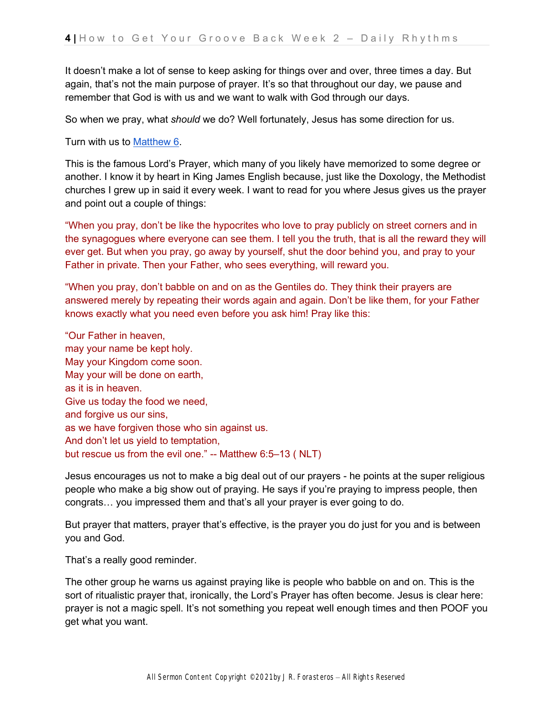It doesn't make a lot of sense to keep asking for things over and over, three times a day. But again, that's not the main purpose of prayer. It's so that throughout our day, we pause and remember that God is with us and we want to walk with God through our days.

So when we pray, what *should* we do? Well fortunately, Jesus has some direction for us.

Turn with us t[o](https://ref.ly/logosref/bible.61.6) [Matthew 6.](https://ref.ly/logosref/bible.61.6)

This is the famous Lord's Prayer, which many of you likely have memorized to some degree or another. I know it by heart in King James English because, just like the Doxology, the Methodist churches I grew up in said it every week. I want to read for you where Jesus gives us the prayer and point out a couple of things:

"When you pray, don't be like the hypocrites who love to pray publicly on street corners and in the synagogues where everyone can see them. I tell you the truth, that is all the reward they will ever get. But when you pray, go away by yourself, shut the door behind you, and pray to your Father in private. Then your Father, who sees everything, will reward you.

"When you pray, don't babble on and on as the Gentiles do. They think their prayers are answered merely by repeating their words again and again. Don't be like them, for your Father knows exactly what you need even before you ask him! Pray like this:

"Our Father in heaven, may your name be kept holy. May your Kingdom come soon. May your will be done on earth, as it is in heaven. Give us today the food we need, and forgive us our sins, as we have forgiven those who sin against us. And don't let us yield to temptation, but rescue us from the evil one." -- Matthew 6:5–13 ( NLT)

Jesus encourages us not to make a big deal out of our prayers - he points at the super religious people who make a big show out of praying. He says if you're praying to impress people, then congrats… you impressed them and that's all your prayer is ever going to do.

But prayer that matters, prayer that's effective, is the prayer you do just for you and is between you and God.

That's a really good reminder.

The other group he warns us against praying like is people who babble on and on. This is the sort of ritualistic prayer that, ironically, the Lord's Prayer has often become. Jesus is clear here: prayer is not a magic spell. It's not something you repeat well enough times and then POOF you get what you want.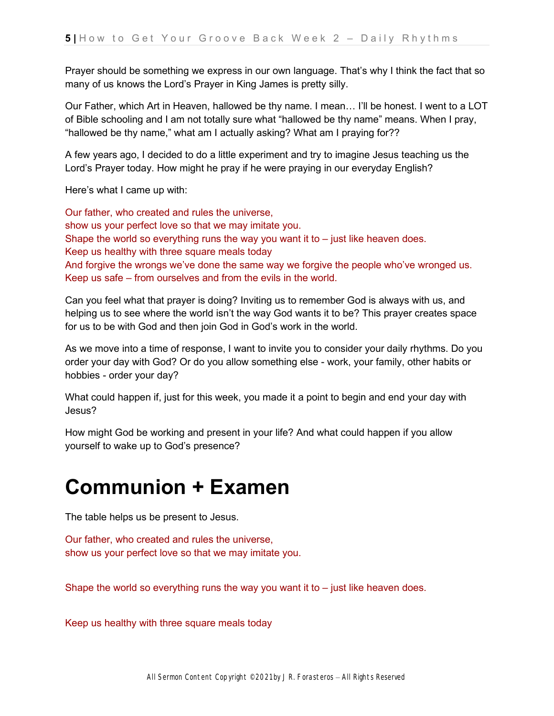Prayer should be something we express in our own language. That's why I think the fact that so many of us knows the Lord's Prayer in King James is pretty silly.

Our Father, which Art in Heaven, hallowed be thy name. I mean… I'll be honest. I went to a LOT of Bible schooling and I am not totally sure what "hallowed be thy name" means. When I pray, "hallowed be thy name," what am I actually asking? What am I praying for??

A few years ago, I decided to do a little experiment and try to imagine Jesus teaching us the Lord's Prayer today. How might he pray if he were praying in our everyday English?

Here's what I came up with:

Our father, who created and rules the universe, show us your perfect love so that we may imitate you. Shape the world so everything runs the way you want it to  $-$  just like heaven does. Keep us healthy with three square meals today And forgive the wrongs we've done the same way we forgive the people who've wronged us. Keep us safe – from ourselves and from the evils in the world.

Can you feel what that prayer is doing? Inviting us to remember God is always with us, and helping us to see where the world isn't the way God wants it to be? This prayer creates space for us to be with God and then join God in God's work in the world.

As we move into a time of response, I want to invite you to consider your daily rhythms. Do you order your day with God? Or do you allow something else - work, your family, other habits or hobbies - order your day?

What could happen if, just for this week, you made it a point to begin and end your day with Jesus?

How might God be working and present in your life? And what could happen if you allow yourself to wake up to God's presence?

# **Communion + Examen**

The table helps us be present to Jesus.

Our father, who created and rules the universe, show us your perfect love so that we may imitate you.

Shape the world so everything runs the way you want it to  $-$  just like heaven does.

Keep us healthy with three square meals today